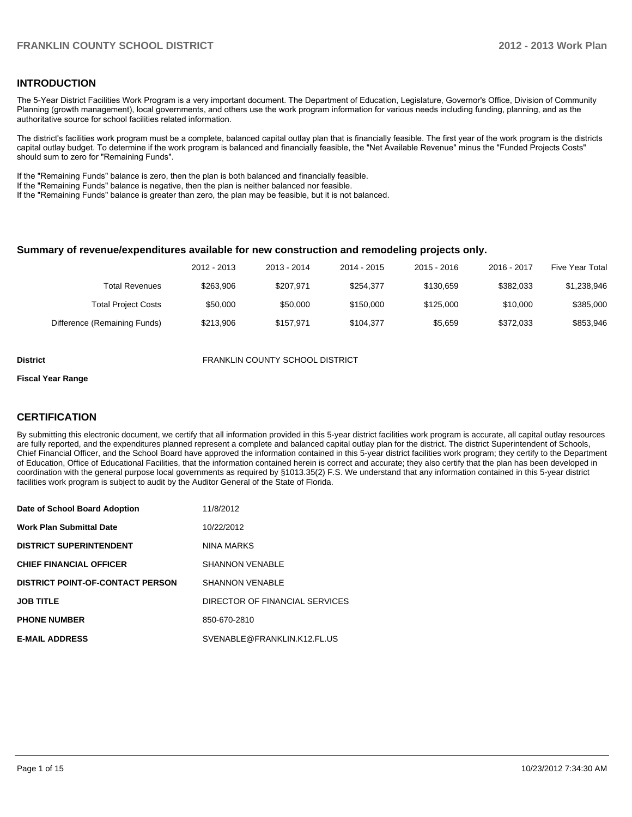### **INTRODUCTION**

The 5-Year District Facilities Work Program is a very important document. The Department of Education, Legislature, Governor's Office, Division of Community Planning (growth management), local governments, and others use the work program information for various needs including funding, planning, and as the authoritative source for school facilities related information.

The district's facilities work program must be a complete, balanced capital outlay plan that is financially feasible. The first year of the work program is the districts capital outlay budget. To determine if the work program is balanced and financially feasible, the "Net Available Revenue" minus the "Funded Projects Costs" should sum to zero for "Remaining Funds".

If the "Remaining Funds" balance is zero, then the plan is both balanced and financially feasible.

If the "Remaining Funds" balance is negative, then the plan is neither balanced nor feasible.

If the "Remaining Funds" balance is greater than zero, the plan may be feasible, but it is not balanced.

#### **Summary of revenue/expenditures available for new construction and remodeling projects only.**

| <b>Five Year Total</b> | 2016 - 2017 | $2015 - 2016$ | 2014 - 2015 | 2013 - 2014 | 2012 - 2013 |                              |
|------------------------|-------------|---------------|-------------|-------------|-------------|------------------------------|
| \$1,238,946            | \$382.033   | \$130.659     | \$254.377   | \$207.971   | \$263.906   | <b>Total Revenues</b>        |
| \$385,000              | \$10,000    | \$125,000     | \$150,000   | \$50,000    | \$50,000    | <b>Total Project Costs</b>   |
| \$853,946              | \$372.033   | \$5.659       | \$104.377   | \$157.971   | \$213,906   | Difference (Remaining Funds) |

**District** FRANKLIN COUNTY SCHOOL DISTRICT

#### **Fiscal Year Range**

### **CERTIFICATION**

By submitting this electronic document, we certify that all information provided in this 5-year district facilities work program is accurate, all capital outlay resources are fully reported, and the expenditures planned represent a complete and balanced capital outlay plan for the district. The district Superintendent of Schools, Chief Financial Officer, and the School Board have approved the information contained in this 5-year district facilities work program; they certify to the Department of Education, Office of Educational Facilities, that the information contained herein is correct and accurate; they also certify that the plan has been developed in coordination with the general purpose local governments as required by §1013.35(2) F.S. We understand that any information contained in this 5-year district facilities work program is subject to audit by the Auditor General of the State of Florida.

| Date of School Board Adoption           | 11/8/2012                      |
|-----------------------------------------|--------------------------------|
| <b>Work Plan Submittal Date</b>         | 10/22/2012                     |
| <b>DISTRICT SUPERINTENDENT</b>          | NINA MARKS                     |
| <b>CHIEF FINANCIAL OFFICER</b>          | <b>SHANNON VENABLE</b>         |
| <b>DISTRICT POINT-OF-CONTACT PERSON</b> | <b>SHANNON VENABLE</b>         |
| <b>JOB TITLE</b>                        | DIRECTOR OF FINANCIAL SERVICES |
| <b>PHONE NUMBER</b>                     | 850-670-2810                   |
| <b>E-MAIL ADDRESS</b>                   | SVENABLE@FRANKLIN.K12.FL.US    |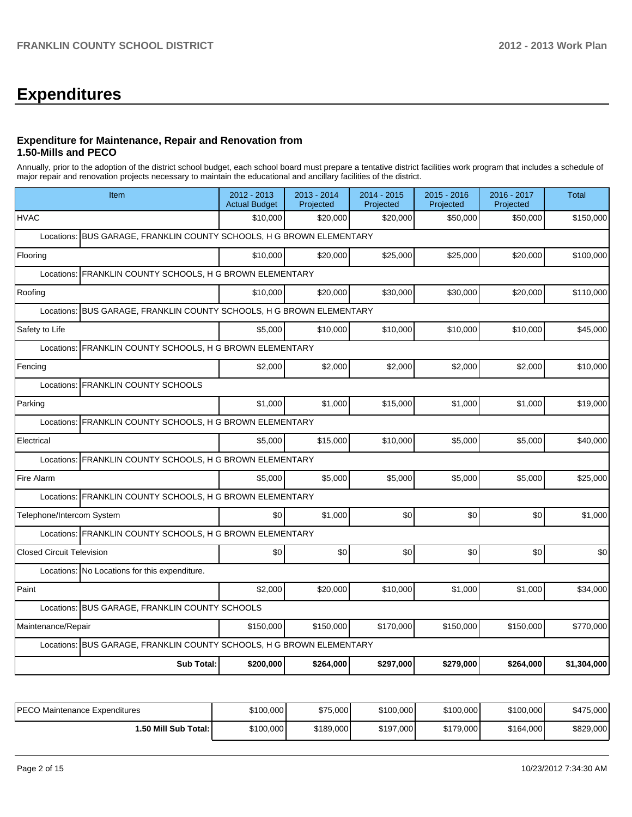# **Expenditures**

### **Expenditure for Maintenance, Repair and Renovation from 1.50-Mills and PECO**

Annually, prior to the adoption of the district school budget, each school board must prepare a tentative district facilities work program that includes a schedule of major repair and renovation projects necessary to maintain the educational and ancillary facilities of the district.

| Item                                                                 | 2012 - 2013<br><b>Actual Budget</b> | $2013 - 2014$<br>Projected | 2014 - 2015<br>Projected | $2015 - 2016$<br>Projected | 2016 - 2017<br>Projected | <b>Total</b> |  |  |  |  |
|----------------------------------------------------------------------|-------------------------------------|----------------------------|--------------------------|----------------------------|--------------------------|--------------|--|--|--|--|
| <b>HVAC</b>                                                          | \$10,000                            | \$20,000                   | \$20,000                 | \$50,000                   | \$50,000                 | \$150,000    |  |  |  |  |
| Locations: BUS GARAGE, FRANKLIN COUNTY SCHOOLS, H G BROWN ELEMENTARY |                                     |                            |                          |                            |                          |              |  |  |  |  |
| Flooring                                                             | \$10,000                            | \$20,000                   | \$25,000                 | \$25,000                   | \$20,000                 | \$100,000    |  |  |  |  |
| Locations: FRANKLIN COUNTY SCHOOLS, H G BROWN ELEMENTARY             |                                     |                            |                          |                            |                          |              |  |  |  |  |
| Roofing                                                              | \$10,000                            | \$20,000                   | \$30,000                 | \$30,000                   | \$20,000                 | \$110,000    |  |  |  |  |
| Locations: BUS GARAGE, FRANKLIN COUNTY SCHOOLS, H G BROWN ELEMENTARY |                                     |                            |                          |                            |                          |              |  |  |  |  |
| Safety to Life                                                       | \$5.000                             | \$10.000                   | \$10.000                 | \$10,000                   | \$10,000                 | \$45,000     |  |  |  |  |
| FRANKLIN COUNTY SCHOOLS, H G BROWN ELEMENTARY<br>Locations:          |                                     |                            |                          |                            |                          |              |  |  |  |  |
| Fencing                                                              | \$2,000                             | \$2,000                    | \$2,000                  | \$2,000                    | \$2,000                  | \$10,000     |  |  |  |  |
| Locations: FRANKLIN COUNTY SCHOOLS                                   |                                     |                            |                          |                            |                          |              |  |  |  |  |
| Parking                                                              | \$1,000                             | \$1,000                    | \$15,000                 | \$1,000                    | \$1,000                  | \$19,000     |  |  |  |  |
| Locations: FRANKLIN COUNTY SCHOOLS, H G BROWN ELEMENTARY             |                                     |                            |                          |                            |                          |              |  |  |  |  |
| Electrical                                                           | \$5,000                             | \$15,000                   | \$10.000                 | \$5,000                    | \$5,000                  | \$40,000     |  |  |  |  |
| FRANKLIN COUNTY SCHOOLS, H G BROWN ELEMENTARY<br>Locations:          |                                     |                            |                          |                            |                          |              |  |  |  |  |
| Fire Alarm                                                           | \$5.000                             | \$5.000                    | \$5.000                  | \$5.000                    | \$5.000                  | \$25,000     |  |  |  |  |
| Locations: FRANKLIN COUNTY SCHOOLS, H G BROWN ELEMENTARY             |                                     |                            |                          |                            |                          |              |  |  |  |  |
| Telephone/Intercom System                                            | \$0                                 | \$1,000                    | 30                       | \$0                        | \$0                      | \$1,000      |  |  |  |  |
| Locations: FRANKLIN COUNTY SCHOOLS, H G BROWN ELEMENTARY             |                                     |                            |                          |                            |                          |              |  |  |  |  |
| <b>Closed Circuit Television</b>                                     | \$0                                 | \$0                        | \$0                      | \$0                        | \$0                      | \$0          |  |  |  |  |
| Locations: No Locations for this expenditure.                        |                                     |                            |                          |                            |                          |              |  |  |  |  |
| Paint                                                                | \$2,000                             | \$20.000                   | \$10,000                 | \$1,000                    | \$1,000                  | \$34,000     |  |  |  |  |
| Locations: BUS GARAGE, FRANKLIN COUNTY SCHOOLS                       |                                     |                            |                          |                            |                          |              |  |  |  |  |
| Maintenance/Repair                                                   | \$150,000                           | \$150,000                  | \$170,000                | \$150,000                  | \$150,000                | \$770,000    |  |  |  |  |
| Locations: BUS GARAGE, FRANKLIN COUNTY SCHOOLS, H G BROWN ELEMENTARY |                                     |                            |                          |                            |                          |              |  |  |  |  |
| <b>Sub Total:</b>                                                    | \$200,000                           | \$264,000                  | \$297,000                | \$279,000                  | \$264,000                | \$1,304,000  |  |  |  |  |

| PECO Maintenance Expenditures | \$100,000 | \$75,000  | \$100,000 | \$100,000 | \$100,000 | \$475,000 |
|-------------------------------|-----------|-----------|-----------|-----------|-----------|-----------|
| i.50 Mill Sub Total: I        | \$100,000 | \$189,000 | \$197,000 | \$179,000 | \$164,000 | \$829,000 |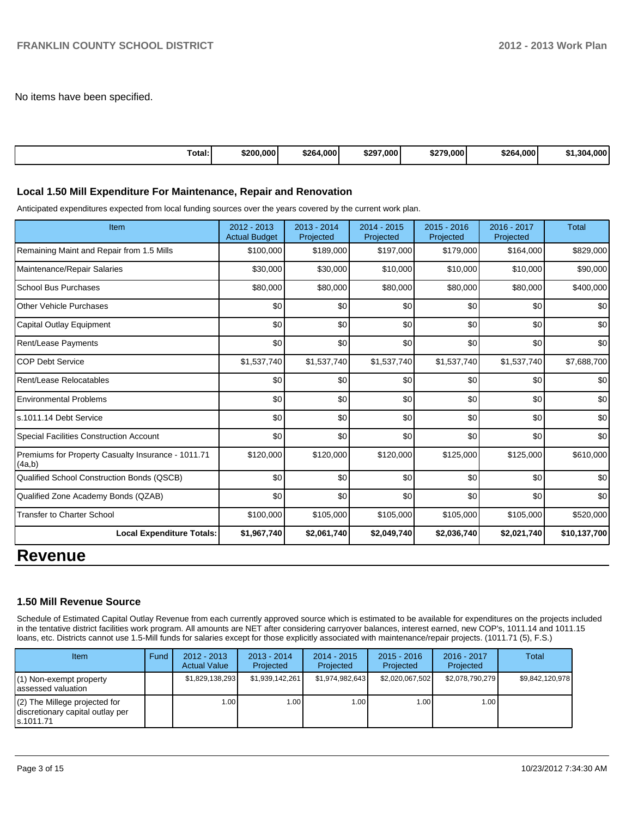No items have been specified.

| Total: | \$200,000 | \$264.000 | \$297,000 | \$279,000 | \$264,000 | 1,304,000 |
|--------|-----------|-----------|-----------|-----------|-----------|-----------|
|--------|-----------|-----------|-----------|-----------|-----------|-----------|

### **Local 1.50 Mill Expenditure For Maintenance, Repair and Renovation**

Anticipated expenditures expected from local funding sources over the years covered by the current work plan.

| Item                                                         | 2012 - 2013<br><b>Actual Budget</b> | 2013 - 2014<br>Projected | 2014 - 2015<br>Projected | 2015 - 2016<br>Projected | 2016 - 2017<br>Projected | Total        |
|--------------------------------------------------------------|-------------------------------------|--------------------------|--------------------------|--------------------------|--------------------------|--------------|
| Remaining Maint and Repair from 1.5 Mills                    | \$100,000                           | \$189,000                | \$197,000                | \$179,000                | \$164,000                | \$829,000    |
| Maintenance/Repair Salaries                                  | \$30,000                            | \$30,000                 | \$10,000                 | \$10,000                 | \$10,000                 | \$90,000     |
| <b>School Bus Purchases</b>                                  | \$80,000                            | \$80,000                 | \$80,000                 | \$80,000                 | \$80,000                 | \$400,000    |
| Other Vehicle Purchases                                      | \$0                                 | \$0                      | \$0                      | \$0                      | \$0                      | \$0          |
| Capital Outlay Equipment                                     | \$0                                 | \$0                      | \$0                      | \$0                      | \$0                      | \$0          |
| <b>Rent/Lease Payments</b>                                   | \$0                                 | \$0                      | \$0                      | \$0                      | \$0                      | \$0          |
| <b>COP Debt Service</b>                                      | \$1,537,740                         | \$1,537,740              | \$1,537,740              | \$1,537,740              | \$1,537,740              | \$7,688,700  |
| Rent/Lease Relocatables                                      | \$0                                 | \$0                      | \$0                      | \$0                      | \$0                      | \$0          |
| <b>Environmental Problems</b>                                | \$0                                 | \$0                      | \$0                      | \$0                      | \$0                      | \$0          |
| s.1011.14 Debt Service                                       | \$0                                 | \$0                      | \$0                      | \$0                      | \$0                      | \$0          |
| <b>Special Facilities Construction Account</b>               | \$0                                 | \$0                      | \$0                      | \$0                      | \$0                      | \$0          |
| Premiums for Property Casualty Insurance - 1011.71<br>(4a,b) | \$120,000                           | \$120,000                | \$120,000                | \$125,000                | \$125,000                | \$610,000    |
| <b>Qualified School Construction Bonds (QSCB)</b>            | \$0                                 | \$0                      | \$0                      | \$0                      | \$0                      | \$0          |
| Qualified Zone Academy Bonds (QZAB)                          | \$0                                 | \$0                      | \$0                      | \$0                      | \$0                      | \$0          |
| <b>Transfer to Charter School</b>                            | \$100,000                           | \$105,000                | \$105,000                | \$105,000                | \$105,000                | \$520,000    |
| <b>Local Expenditure Totals:</b>                             | \$1,967,740                         | \$2,061,740              | \$2,049,740              | \$2,036,740              | \$2,021,740              | \$10,137,700 |
|                                                              |                                     |                          |                          |                          |                          |              |

### **Revenue**

### **1.50 Mill Revenue Source**

Schedule of Estimated Capital Outlay Revenue from each currently approved source which is estimated to be available for expenditures on the projects included in the tentative district facilities work program. All amounts are NET after considering carryover balances, interest earned, new COP's, 1011.14 and 1011.15 loans, etc. Districts cannot use 1.5-Mill funds for salaries except for those explicitly associated with maintenance/repair projects. (1011.71 (5), F.S.)

| <b>Item</b>                                                                       | Fund | $2012 - 2013$<br><b>Actual Value</b> | $2013 - 2014$<br>Projected | 2014 - 2015<br>Projected | $2015 - 2016$<br>Projected | $2016 - 2017$<br>Projected | Total           |
|-----------------------------------------------------------------------------------|------|--------------------------------------|----------------------------|--------------------------|----------------------------|----------------------------|-----------------|
| $(1)$ Non-exempt property<br>lassessed valuation                                  |      | \$1,829,138,293                      | \$1,939,142,261            | \$1.974.982.643          | \$2,020,067,502            | \$2.078.790.279            | \$9,842,120,978 |
| $(2)$ The Millege projected for<br>discretionary capital outlay per<br>ls.1011.71 |      | 1.00                                 | 1.001                      | 1.00 <sub>l</sub>        | 1.00 <sub>l</sub>          | 1.00 <sub>l</sub>          |                 |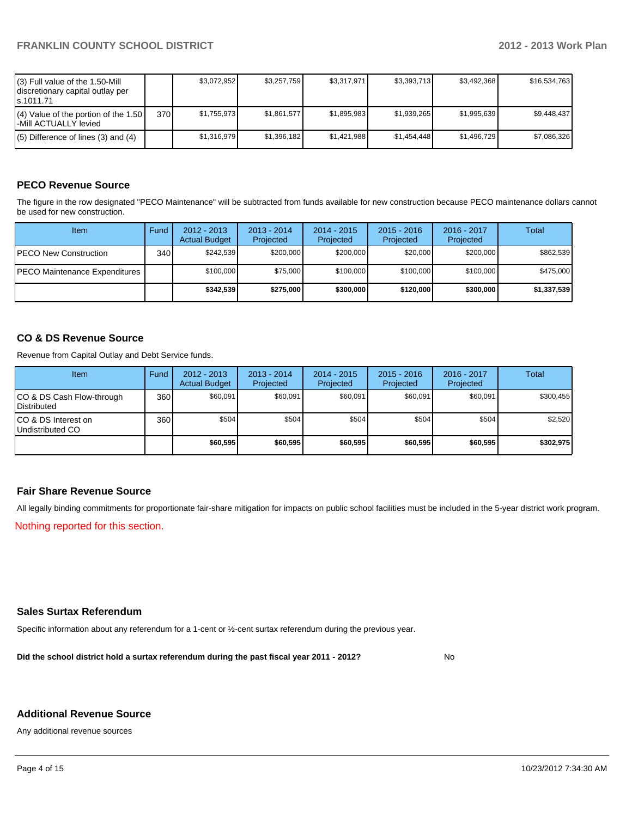| (3) Full value of the 1.50-Mill<br>discretionary capital outlay per<br>ls.1011.71 |     | \$3.072.952 | \$3,257,759 | \$3.317.971 | \$3,393,713 | \$3.492.368 | \$16,534,763 |
|-----------------------------------------------------------------------------------|-----|-------------|-------------|-------------|-------------|-------------|--------------|
| $(4)$ Value of the portion of the 1.50<br>l-Mill ACTUALLY levied                  | 370 | \$1.755.973 | \$1.861.577 | \$1,895,983 | \$1.939.265 | \$1.995.639 | \$9.448.437  |
| $(5)$ Difference of lines (3) and (4)                                             |     | \$1.316.979 | \$1,396,182 | \$1.421.988 | \$1.454.448 | \$1.496.729 | \$7,086,326  |

### **PECO Revenue Source**

The figure in the row designated "PECO Maintenance" will be subtracted from funds available for new construction because PECO maintenance dollars cannot be used for new construction.

| Item                                  | Fund             | $2012 - 2013$<br><b>Actual Budget</b> | $2013 - 2014$<br>Projected | $2014 - 2015$<br>Projected | $2015 - 2016$<br>Projected | $2016 - 2017$<br>Projected | Total       |
|---------------------------------------|------------------|---------------------------------------|----------------------------|----------------------------|----------------------------|----------------------------|-------------|
| <b>IPECO New Construction</b>         | 340 <sup>l</sup> | \$242.539                             | \$200,000                  | \$200,000                  | \$20,000                   | \$200,000                  | \$862,539   |
| <b>IPECO Maintenance Expenditures</b> |                  | \$100,000                             | \$75,000                   | \$100,000                  | \$100,000                  | \$100,000                  | \$475,000   |
|                                       |                  | \$342.539                             | \$275,000                  | \$300,000                  | \$120,000                  | \$300,000                  | \$1,337,539 |

### **CO & DS Revenue Source**

Revenue from Capital Outlay and Debt Service funds.

| <b>Item</b>                                        | Fund | $2012 - 2013$<br><b>Actual Budget</b> | $2013 - 2014$<br>Projected | $2014 - 2015$<br>Projected | $2015 - 2016$<br>Projected | $2016 - 2017$<br>Projected | Total     |
|----------------------------------------------------|------|---------------------------------------|----------------------------|----------------------------|----------------------------|----------------------------|-----------|
| ICO & DS Cash Flow-through<br><b>I</b> Distributed | 360  | \$60,091                              | \$60,091                   | \$60,091                   | \$60.091                   | \$60,091                   | \$300,455 |
| ICO & DS Interest on<br>Undistributed CO           | 360  | \$504                                 | \$504                      | \$504                      | \$504                      | \$504                      | \$2,520   |
|                                                    |      | \$60,595                              | \$60,595                   | \$60,595                   | \$60,595                   | \$60,595                   | \$302,975 |

### **Fair Share Revenue Source**

All legally binding commitments for proportionate fair-share mitigation for impacts on public school facilities must be included in the 5-year district work program.

Nothing reported for this section.

### **Sales Surtax Referendum**

Specific information about any referendum for a 1-cent or ½-cent surtax referendum during the previous year.

**Did the school district hold a surtax referendum during the past fiscal year 2011 - 2012?**

No

### **Additional Revenue Source**

Any additional revenue sources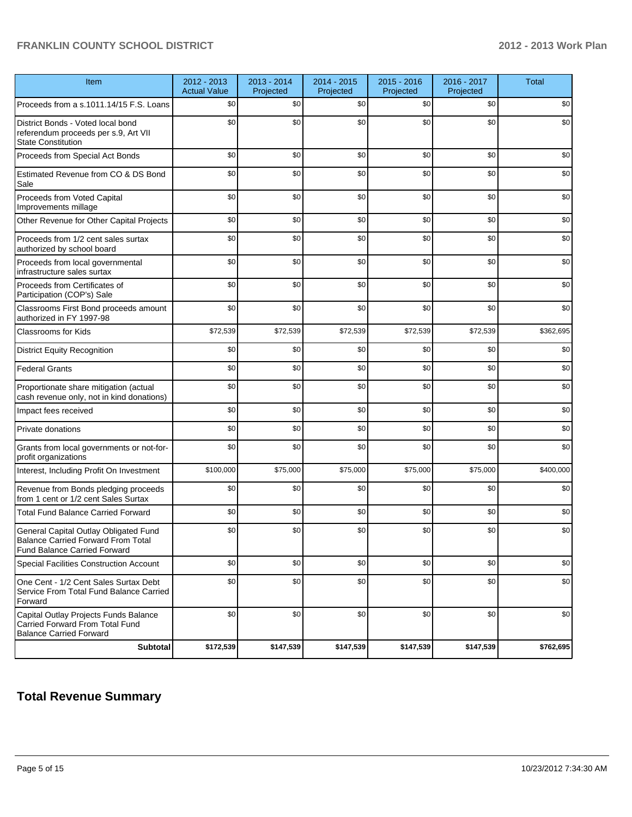| Item                                                                                                                      | 2012 - 2013<br><b>Actual Value</b> | 2013 - 2014<br>Projected | 2014 - 2015<br>Projected | 2015 - 2016<br>Projected | 2016 - 2017<br>Projected | <b>Total</b> |
|---------------------------------------------------------------------------------------------------------------------------|------------------------------------|--------------------------|--------------------------|--------------------------|--------------------------|--------------|
| Proceeds from a s.1011.14/15 F.S. Loans                                                                                   | \$0                                | \$0                      | \$0                      | \$0                      | \$0                      | \$0          |
| District Bonds - Voted local bond<br>referendum proceeds per s.9, Art VII<br><b>State Constitution</b>                    | \$0                                | \$0                      | \$0                      | \$0                      | \$0                      | \$0          |
| Proceeds from Special Act Bonds                                                                                           | \$0                                | \$0                      | \$0                      | \$0                      | \$0                      | \$0          |
| Estimated Revenue from CO & DS Bond<br>Sale                                                                               | \$0                                | \$0                      | \$0                      | \$0                      | \$0                      | \$0          |
| Proceeds from Voted Capital<br>Improvements millage                                                                       | \$0                                | \$0                      | \$0                      | \$0                      | \$0                      | \$0          |
| Other Revenue for Other Capital Projects                                                                                  | \$0                                | \$0                      | \$0                      | \$0                      | \$0                      | \$0          |
| Proceeds from 1/2 cent sales surtax<br>authorized by school board                                                         | \$0                                | \$0                      | \$0                      | \$0                      | \$0                      | \$0          |
| Proceeds from local governmental<br>infrastructure sales surtax                                                           | \$0                                | \$0                      | \$0                      | \$0                      | \$0                      | \$0          |
| Proceeds from Certificates of<br>Participation (COP's) Sale                                                               | \$0                                | \$0                      | \$0                      | \$0                      | \$0                      | \$0          |
| Classrooms First Bond proceeds amount<br>authorized in FY 1997-98                                                         | \$0                                | \$0                      | \$0                      | \$0                      | \$0                      | \$0          |
| Classrooms for Kids                                                                                                       | \$72,539                           | \$72,539                 | \$72,539                 | \$72,539                 | \$72,539                 | \$362,695    |
| <b>District Equity Recognition</b>                                                                                        | \$0                                | \$0                      | \$0                      | \$0                      | \$0                      | \$0          |
| <b>Federal Grants</b>                                                                                                     | \$0                                | \$0                      | \$0                      | \$0                      | \$0                      | \$0          |
| Proportionate share mitigation (actual<br>cash revenue only, not in kind donations)                                       | \$0                                | \$0                      | \$0                      | \$0                      | \$0                      | \$0          |
| Impact fees received                                                                                                      | \$0                                | \$0                      | \$0                      | \$0                      | \$0                      | \$0          |
| Private donations                                                                                                         | \$0                                | \$0                      | \$0                      | \$0                      | \$0                      | \$0          |
| Grants from local governments or not-for-<br>profit organizations                                                         | \$0                                | \$0                      | \$0                      | \$0                      | \$0                      | \$0          |
| Interest, Including Profit On Investment                                                                                  | \$100,000                          | \$75,000                 | \$75,000                 | \$75,000                 | \$75,000                 | \$400,000    |
| Revenue from Bonds pledging proceeds<br>from 1 cent or 1/2 cent Sales Surtax                                              | \$0                                | \$0                      | \$0                      | \$0                      | \$0                      | \$0          |
| <b>Total Fund Balance Carried Forward</b>                                                                                 | \$0                                | \$0                      | \$0                      | \$0                      | \$0                      | \$0          |
| General Capital Outlay Obligated Fund<br><b>Balance Carried Forward From Total</b><br><b>Fund Balance Carried Forward</b> | \$0                                | \$0                      | \$0                      | \$0                      | \$0                      | \$0          |
| Special Facilities Construction Account                                                                                   | \$0                                | \$0                      | \$0                      | \$0                      | \$0                      | \$0          |
| One Cent - 1/2 Cent Sales Surtax Debt<br>Service From Total Fund Balance Carried<br>Forward                               | \$0                                | \$0                      | \$0                      | \$0                      | \$0                      | \$0          |
| Capital Outlay Projects Funds Balance<br>Carried Forward From Total Fund<br><b>Balance Carried Forward</b>                | \$0                                | \$0                      | \$0                      | \$0                      | \$0                      | \$0          |
| <b>Subtotal</b>                                                                                                           | \$172,539                          | \$147,539                | \$147,539                | \$147,539                | \$147,539                | \$762,695    |

## **Total Revenue Summary**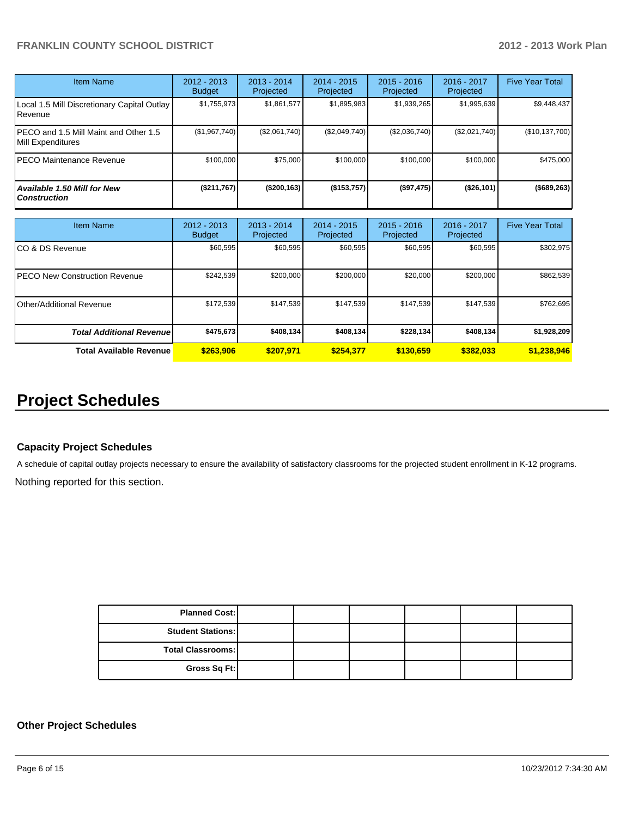| Item Name                                                  | $2012 - 2013$<br><b>Budget</b> | $2013 - 2014$<br>Projected | $2014 - 2015$<br>Projected | $2015 - 2016$<br>Projected | $2016 - 2017$<br>Projected | <b>Five Year Total</b> |
|------------------------------------------------------------|--------------------------------|----------------------------|----------------------------|----------------------------|----------------------------|------------------------|
| Local 1.5 Mill Discretionary Capital Outlay<br>Revenue     | \$1,755,973                    | \$1,861,577                | \$1,895,983                | \$1,939,265                | \$1,995,639                | \$9,448,437            |
| PECO and 1.5 Mill Maint and Other 1.5<br>Mill Expenditures | (\$1,967,740)                  | (\$2,061,740)              | (\$2,049,740)              | (S2,036,740)               | (\$2,021,740)              | (\$10,137,700)         |
| PECO Maintenance Revenue                                   | \$100,000                      | \$75,000                   | \$100,000                  | \$100,000                  | \$100,000                  | \$475,000              |
| Available 1.50 Mill for New<br><b>Construction</b>         | (\$211,767)                    | ( \$200, 163)              | (\$153,757)                | (\$97,475)                 | (\$26,101)                 | (\$689,263)            |

| Item Name                            | 2012 - 2013<br><b>Budget</b> | $2013 - 2014$<br>Projected | $2014 - 2015$<br>Projected | $2015 - 2016$<br>Projected | $2016 - 2017$<br>Projected | <b>Five Year Total</b> |
|--------------------------------------|------------------------------|----------------------------|----------------------------|----------------------------|----------------------------|------------------------|
| CO & DS Revenue                      | \$60,595                     | \$60,595                   | \$60,595                   | \$60,595                   | \$60,595                   | \$302,975              |
| <b>PECO New Construction Revenue</b> | \$242,539                    | \$200,000                  | \$200,000                  | \$20,000                   | \$200,000                  | \$862,539              |
| Other/Additional Revenue             | \$172,539                    | \$147,539                  | \$147.539                  | \$147,539                  | \$147,539                  | \$762,695              |
| <b>Total Additional Revenuel</b>     | \$475,673                    | \$408,134                  | \$408,134                  | \$228,134                  | \$408,134                  | \$1,928,209            |
| <b>Total Available Revenue</b>       | \$263,906                    | \$207.971                  | \$254.377                  | \$130.659                  | \$382.033                  | \$1,238,946            |

# **Project Schedules**

### **Capacity Project Schedules**

A schedule of capital outlay projects necessary to ensure the availability of satisfactory classrooms for the projected student enrollment in K-12 programs.

Nothing reported for this section.

| <b>Planned Cost:</b>     |  |  |  |
|--------------------------|--|--|--|
| <b>Student Stations:</b> |  |  |  |
| <b>Total Classrooms:</b> |  |  |  |
| Gross Sq Ft:             |  |  |  |

### **Other Project Schedules**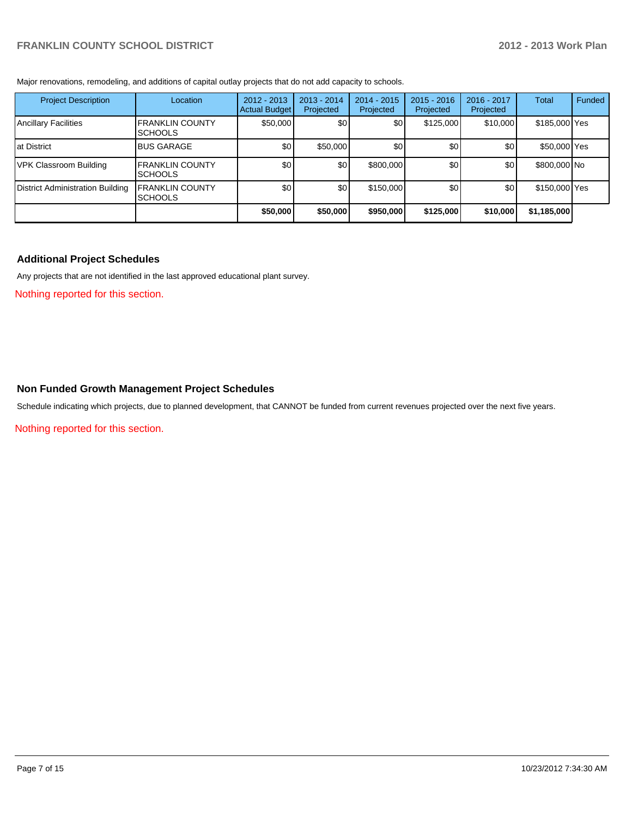Major renovations, remodeling, and additions of capital outlay projects that do not add capacity to schools.

| <b>Project Description</b>       | Location                                  | $2012 - 2013$<br><b>Actual Budget</b> | $2013 - 2014$<br>Projected | 2014 - 2015<br>Projected | $2015 - 2016$<br>Projected | 2016 - 2017<br>Projected | Total         | Funded |
|----------------------------------|-------------------------------------------|---------------------------------------|----------------------------|--------------------------|----------------------------|--------------------------|---------------|--------|
| <b>Ancillary Facilities</b>      | <b>FRANKLIN COUNTY</b><br><b>ISCHOOLS</b> | \$50,000                              | \$0                        | \$0                      | \$125,000                  | \$10,000                 | \$185,000 Yes |        |
| Iat District                     | <b>BUS GARAGE</b>                         | \$0                                   | \$50,000                   | \$0                      | \$0                        | \$0                      | \$50,000 Yes  |        |
| VPK Classroom Building           | <b>FRANKLIN COUNTY</b><br><b>ISCHOOLS</b> | \$0                                   | \$0 <sub>1</sub>           | \$800,000                | \$0                        | \$0                      | \$800,000 No  |        |
| District Administration Building | <b>FRANKLIN COUNTY</b><br><b>ISCHOOLS</b> | \$0                                   | \$0                        | \$150,000                | \$0                        | \$0 <sub>1</sub>         | \$150,000 Yes |        |
|                                  |                                           | \$50,000                              | \$50,000                   | \$950,000                | \$125,000                  | \$10,000                 | \$1,185,000   |        |

### **Additional Project Schedules**

Any projects that are not identified in the last approved educational plant survey.

Nothing reported for this section.

### **Non Funded Growth Management Project Schedules**

Schedule indicating which projects, due to planned development, that CANNOT be funded from current revenues projected over the next five years.

Nothing reported for this section.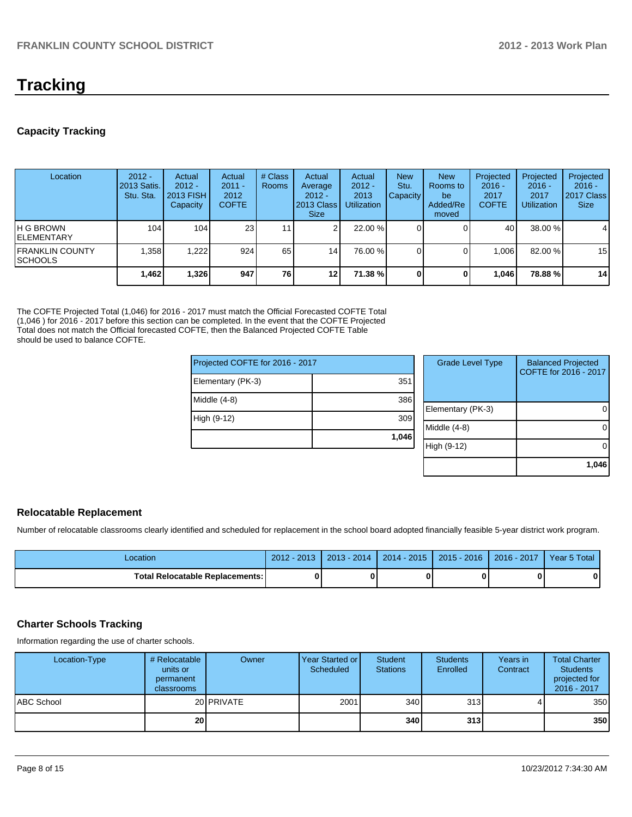# **Tracking**

### **Capacity Tracking**

| Location                                   | $2012 -$<br>2013 Satis.<br>Stu. Sta. | Actual<br>$2012 -$<br>2013 FISH<br>Capacity | Actual<br>$2011 -$<br>2012<br><b>COFTE</b> | # Class<br>Rooms | Actual<br>Average<br>$2012 -$<br>2013 Class<br>Size. | Actual<br>$2012 -$<br>2013<br><b>Utilization</b> | <b>New</b><br>Stu.<br><b>Capacity</b> | <b>New</b><br>Rooms to<br>be<br>Added/Re<br>moved | Projected<br>$2016 -$<br>2017<br><b>COFTE</b> | Projected<br>$2016 -$<br>2017<br><b>Utilization</b> | Projected<br>$2016 -$<br>2017 Class<br><b>Size</b> |
|--------------------------------------------|--------------------------------------|---------------------------------------------|--------------------------------------------|------------------|------------------------------------------------------|--------------------------------------------------|---------------------------------------|---------------------------------------------------|-----------------------------------------------|-----------------------------------------------------|----------------------------------------------------|
| IH G BROWN<br><b>IELEMENTARY</b>           | 104                                  | 104                                         | 23 <sub>1</sub>                            | 11               | ົ                                                    | 22.00 %                                          |                                       |                                                   | 40                                            | 38.00 %                                             | $\overline{4}$                                     |
| <b>IFRANKLIN COUNTY</b><br><b>ISCHOOLS</b> | .358                                 | .222                                        | 924                                        | 65               | 14 <sub>1</sub>                                      | 76.00 %                                          |                                       |                                                   | 1.006                                         | 82.00%                                              | 15                                                 |
|                                            | 1,462                                | 1,326                                       | 947                                        | 76 I             | 12                                                   | 71.38 %                                          | $\mathbf{0}$                          |                                                   | 1.046                                         | 78.88%                                              | 14                                                 |

The COFTE Projected Total (1,046) for 2016 - 2017 must match the Official Forecasted COFTE Total (1,046 ) for 2016 - 2017 before this section can be completed. In the event that the COFTE Projected Total does not match the Official forecasted COFTE, then the Balanced Projected COFTE Table should be used to balance COFTE.

| Projected COFTE for 2016 - 2017 |       | C    |
|---------------------------------|-------|------|
| Elementary (PK-3)               | 351   |      |
| Middle (4-8)                    | 386   | Elen |
| High (9-12)                     | 309   | Mido |
|                                 | 1,046 | ligh |
|                                 |       |      |

| <b>Grade Level Type</b> | <b>Balanced Projected</b><br>COFTE for 2016 - 2017 |
|-------------------------|----------------------------------------------------|
| Elementary (PK-3)       |                                                    |
| Middle $(4-8)$          |                                                    |
| High (9-12)             |                                                    |
|                         | 1.046                                              |

### **Relocatable Replacement**

Number of relocatable classrooms clearly identified and scheduled for replacement in the school board adopted financially feasible 5-year district work program.

| -ocation                               | 2012 - 2013 | $2013 - 2014$ | 2014 - 2015 ┃ 2015 - 2016 ┃ 2016 - 2017 | Year 5 Total |
|----------------------------------------|-------------|---------------|-----------------------------------------|--------------|
| <b>Total Relocatable Replacements:</b> |             |               |                                         | 0            |

### **Charter Schools Tracking**

Information regarding the use of charter schools.

| Location-Type     | # Relocatable<br>units or<br>permanent<br><b>classrooms</b> | Owner               | Year Started or<br>Scheduled | Student<br><b>Stations</b> | <b>Students</b><br><b>Enrolled</b> | Years in<br>Contract | <b>Total Charter</b><br><b>Students</b><br>projected for<br>2016 - 2017 |
|-------------------|-------------------------------------------------------------|---------------------|------------------------------|----------------------------|------------------------------------|----------------------|-------------------------------------------------------------------------|
| <b>ABC School</b> |                                                             | 20 <b>I</b> PRIVATE | 2001                         | 340 <sup>1</sup>           | 313                                |                      | 350                                                                     |
|                   | 20 <sub>1</sub>                                             |                     |                              | 340l                       | 313 <sup>1</sup>                   |                      | 350                                                                     |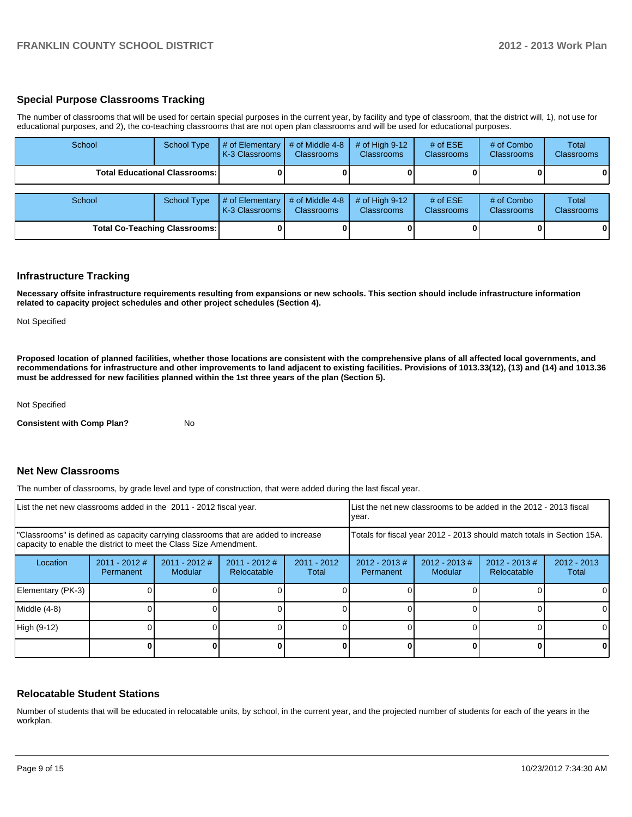### **Special Purpose Classrooms Tracking**

The number of classrooms that will be used for certain special purposes in the current year, by facility and type of classroom, that the district will, 1), not use for educational purposes, and 2), the co-teaching classrooms that are not open plan classrooms and will be used for educational purposes.

| School | <b>School Type</b>                     | # of Elementary<br>K-3 Classrooms | # of Middle 4-8<br><b>Classrooms</b> | # of High $9-12$<br><b>Classrooms</b> | # of $ESE$<br><b>Classrooms</b> | # of Combo<br><b>Classrooms</b> | <b>Total</b><br>Classrooms |
|--------|----------------------------------------|-----------------------------------|--------------------------------------|---------------------------------------|---------------------------------|---------------------------------|----------------------------|
|        | <b>Total Educational Classrooms: I</b> |                                   |                                      |                                       |                                 |                                 |                            |
| School | <b>School Type</b>                     | # of Elementary<br>K-3 Classrooms | # of Middle 4-8<br><b>Classrooms</b> | # of High $9-12$<br><b>Classrooms</b> | # of $ESE$<br>Classrooms        | # of Combo<br><b>Classrooms</b> | Total<br>Classrooms        |
|        | <b>Total Co-Teaching Classrooms:</b>   |                                   |                                      |                                       |                                 |                                 | 0                          |

### **Infrastructure Tracking**

**Necessary offsite infrastructure requirements resulting from expansions or new schools. This section should include infrastructure information related to capacity project schedules and other project schedules (Section 4).**

Not Specified

**Proposed location of planned facilities, whether those locations are consistent with the comprehensive plans of all affected local governments, and recommendations for infrastructure and other improvements to land adjacent to existing facilities. Provisions of 1013.33(12), (13) and (14) and 1013.36 must be addressed for new facilities planned within the 1st three years of the plan (Section 5).**

Not Specified

**Consistent with Comp Plan?** No

### **Net New Classrooms**

The number of classrooms, by grade level and type of construction, that were added during the last fiscal year.

| List the net new classrooms added in the 2011 - 2012 fiscal year.                                                                                       |                              |                          |                                |                        | List the net new classrooms to be added in the 2012 - 2013 fiscal<br>year. |                             |                                 |                        |
|---------------------------------------------------------------------------------------------------------------------------------------------------------|------------------------------|--------------------------|--------------------------------|------------------------|----------------------------------------------------------------------------|-----------------------------|---------------------------------|------------------------|
| "Classrooms" is defined as capacity carrying classrooms that are added to increase<br>capacity to enable the district to meet the Class Size Amendment. |                              |                          |                                |                        | Totals for fiscal year 2012 - 2013 should match totals in Section 15A.     |                             |                                 |                        |
| Location                                                                                                                                                | $2011 - 2012$ #<br>Permanent | 2011 - 2012 #<br>Modular | $2011 - 2012$ #<br>Relocatable | $2011 - 2012$<br>Total | $2012 - 2013 \#$<br>Permanent                                              | $2012 - 2013 \#$<br>Modular | $2012 - 2013 \#$<br>Relocatable | $2012 - 2013$<br>Total |
| Elementary (PK-3)                                                                                                                                       |                              |                          |                                |                        |                                                                            |                             |                                 |                        |
| Middle (4-8)                                                                                                                                            |                              |                          |                                |                        |                                                                            |                             |                                 |                        |
| High (9-12)                                                                                                                                             |                              |                          |                                |                        |                                                                            |                             |                                 | ΩI                     |
|                                                                                                                                                         |                              |                          |                                |                        |                                                                            |                             |                                 |                        |

### **Relocatable Student Stations**

Number of students that will be educated in relocatable units, by school, in the current year, and the projected number of students for each of the years in the workplan.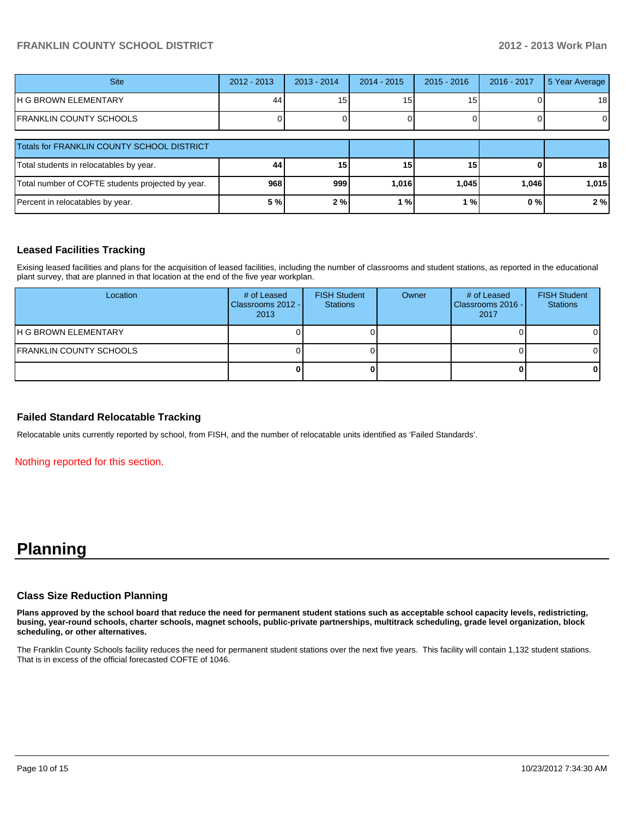| <b>Site</b>                                       | $2012 - 2013$ | $2013 - 2014$ | $2014 - 2015$ | $2015 - 2016$ | 2016 - 2017 | 5 Year Average  |
|---------------------------------------------------|---------------|---------------|---------------|---------------|-------------|-----------------|
| IH G BROWN ELEMENTARY                             | 44            | כ ו           | 15            | 15            |             | 18 <sup>l</sup> |
| IFRANKLIN COUNTY SCHOOLS                          |               |               |               |               |             |                 |
| Totals for FRANKLIN COUNTY SCHOOL DISTRICT        |               |               |               |               |             |                 |
| Total students in relocatables by year.           | 44            | 15            | 15            | 15            |             | 18 <sup>l</sup> |
| Total number of COFTE students projected by year. | 968           | 999           | 1.016         | 1.045         | 1.046       | 1,015           |
| Percent in relocatables by year.                  | 5 %           | 2%            | %۱            | 1%            | 0%          | 2%              |

### **Leased Facilities Tracking**

Exising leased facilities and plans for the acquisition of leased facilities, including the number of classrooms and student stations, as reported in the educational plant survey, that are planned in that location at the end of the five year workplan.

| Location                        | # of Leased<br>Classrooms 2012 -<br>2013 | <b>FISH Student</b><br><b>Stations</b> | Owner | # of Leased<br>Classrooms 2016 -<br>2017 | <b>FISH Student</b><br><b>Stations</b> |
|---------------------------------|------------------------------------------|----------------------------------------|-------|------------------------------------------|----------------------------------------|
| <b>IH G BROWN ELEMENTARY</b>    |                                          |                                        |       |                                          |                                        |
| <b>IFRANKLIN COUNTY SCHOOLS</b> |                                          |                                        |       |                                          |                                        |
|                                 |                                          |                                        |       |                                          |                                        |

### **Failed Standard Relocatable Tracking**

Relocatable units currently reported by school, from FISH, and the number of relocatable units identified as 'Failed Standards'.

Nothing reported for this section.

## **Planning**

#### **Class Size Reduction Planning**

**Plans approved by the school board that reduce the need for permanent student stations such as acceptable school capacity levels, redistricting, busing, year-round schools, charter schools, magnet schools, public-private partnerships, multitrack scheduling, grade level organization, block scheduling, or other alternatives.**

The Franklin County Schools facility reduces the need for permanent student stations over the next five years. This facility will contain 1,132 student stations. That is in excess of the official forecasted COFTE of 1046.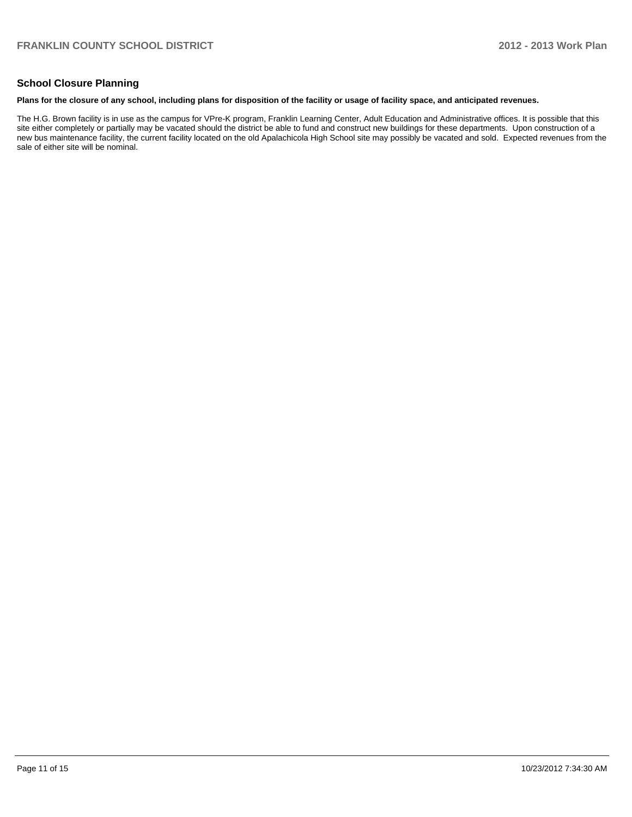### **School Closure Planning**

#### **Plans for the closure of any school, including plans for disposition of the facility or usage of facility space, and anticipated revenues.**

The H.G. Brown facility is in use as the campus for VPre-K program, Franklin Learning Center, Adult Education and Administrative offices. It is possible that this site either completely or partially may be vacated should the district be able to fund and construct new buildings for these departments. Upon construction of a new bus maintenance facility, the current facility located on the old Apalachicola High School site may possibly be vacated and sold. Expected revenues from the sale of either site will be nominal.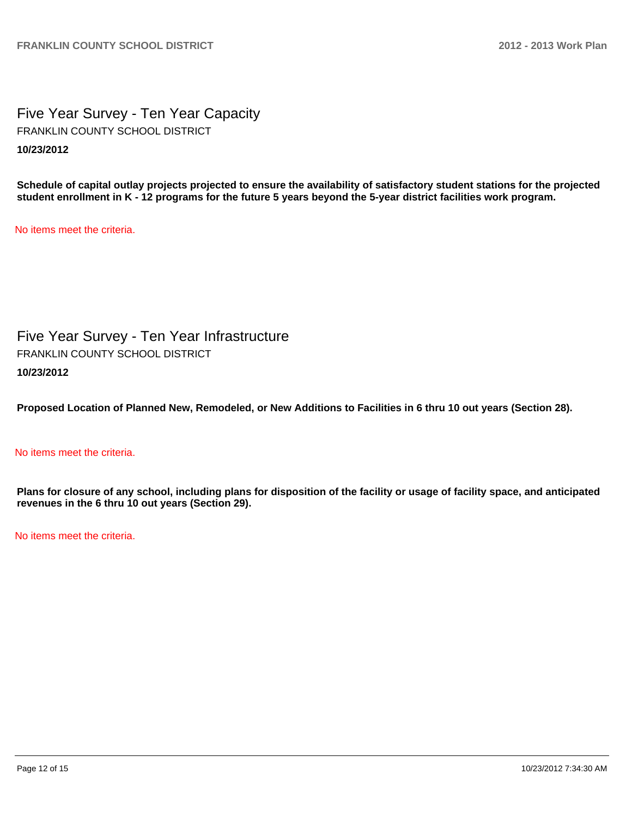Five Year Survey - Ten Year Capacity **10/23/2012** FRANKLIN COUNTY SCHOOL DISTRICT

**Schedule of capital outlay projects projected to ensure the availability of satisfactory student stations for the projected student enrollment in K - 12 programs for the future 5 years beyond the 5-year district facilities work program.**

No items meet the criteria.

Five Year Survey - Ten Year Infrastructure **10/23/2012** FRANKLIN COUNTY SCHOOL DISTRICT

**Proposed Location of Planned New, Remodeled, or New Additions to Facilities in 6 thru 10 out years (Section 28).**

### No items meet the criteria.

**Plans for closure of any school, including plans for disposition of the facility or usage of facility space, and anticipated revenues in the 6 thru 10 out years (Section 29).**

No items meet the criteria.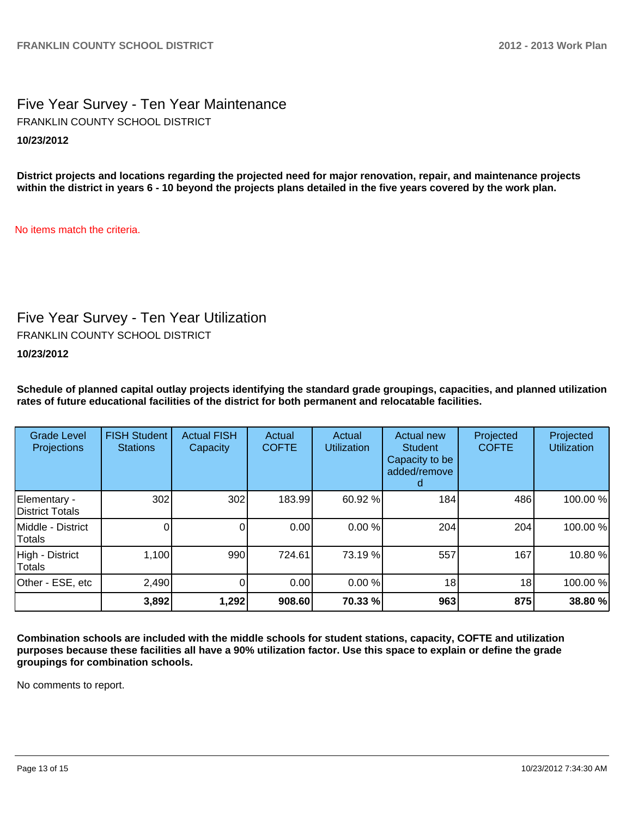## Five Year Survey - Ten Year Maintenance **10/23/2012** FRANKLIN COUNTY SCHOOL DISTRICT

**District projects and locations regarding the projected need for major renovation, repair, and maintenance projects within the district in years 6 - 10 beyond the projects plans detailed in the five years covered by the work plan.**

No items match the criteria.

## Five Year Survey - Ten Year Utilization

FRANKLIN COUNTY SCHOOL DISTRICT

**10/23/2012**

**Schedule of planned capital outlay projects identifying the standard grade groupings, capacities, and planned utilization rates of future educational facilities of the district for both permanent and relocatable facilities.**

| <b>Grade Level</b><br>Projections | <b>FISH Student</b><br><b>Stations</b> | <b>Actual FISH</b><br>Capacity | Actual<br><b>COFTE</b> | Actual<br><b>Utilization</b> | Actual new<br><b>Student</b><br>Capacity to be<br>added/remove | Projected<br><b>COFTE</b> | Projected<br><b>Utilization</b> |
|-----------------------------------|----------------------------------------|--------------------------------|------------------------|------------------------------|----------------------------------------------------------------|---------------------------|---------------------------------|
| Elementary -<br>District Totals   | 302                                    | 302                            | 183.99                 | 60.92 %                      | 184                                                            | 486                       | 100.00%                         |
| Middle - District<br>Totals       |                                        | 0                              | 0.00                   | 0.00%                        | 204                                                            | 204                       | 100.00%                         |
| High - District<br>Totals         | 1,100                                  | 990                            | 724.61                 | 73.19 %                      | 557                                                            | 167                       | 10.80%                          |
| Other - ESE, etc                  | 2,490                                  | 0                              | 0.00                   | 0.00 %                       | 18 <sub>1</sub>                                                | 18 <sub>1</sub>           | 100.00%                         |
|                                   | 3,892                                  | 1,292                          | 908.60                 | 70.33 %                      | 963                                                            | 875                       | 38.80 %                         |

**Combination schools are included with the middle schools for student stations, capacity, COFTE and utilization purposes because these facilities all have a 90% utilization factor. Use this space to explain or define the grade groupings for combination schools.**

No comments to report.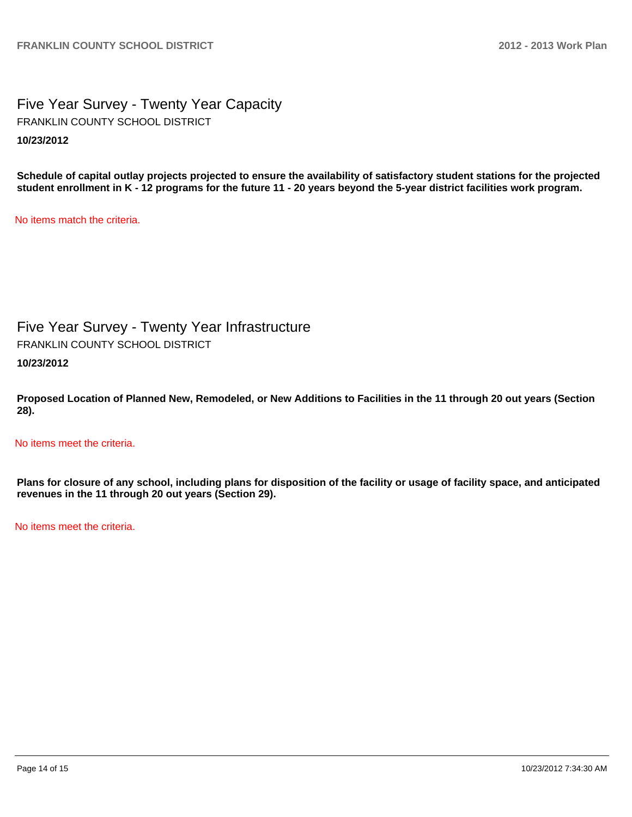Five Year Survey - Twenty Year Capacity **10/23/2012** FRANKLIN COUNTY SCHOOL DISTRICT

**Schedule of capital outlay projects projected to ensure the availability of satisfactory student stations for the projected student enrollment in K - 12 programs for the future 11 - 20 years beyond the 5-year district facilities work program.**

No items match the criteria.

Five Year Survey - Twenty Year Infrastructure **10/23/2012** FRANKLIN COUNTY SCHOOL DISTRICT

**Proposed Location of Planned New, Remodeled, or New Additions to Facilities in the 11 through 20 out years (Section 28).**

No items meet the criteria.

**Plans for closure of any school, including plans for disposition of the facility or usage of facility space, and anticipated revenues in the 11 through 20 out years (Section 29).**

No items meet the criteria.